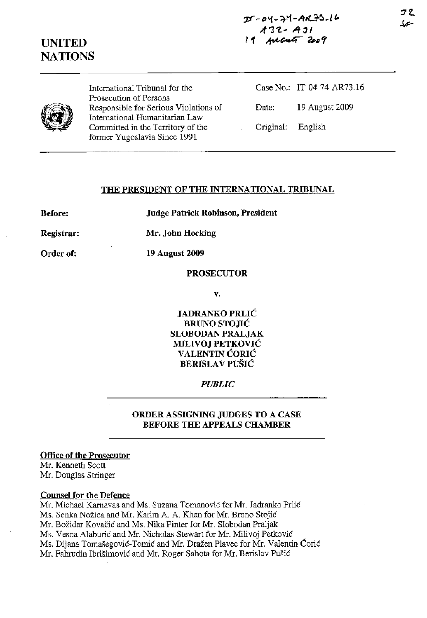# **UNITED NATIONS**

International Tribunal for the Prosecution of Persons Responsible for Serious Violations of International Humanitarian Law Committed in the Territory of the former Yugoslavia Since 1991

Case No.: IT-04-74-AR73.16 Date: 19 August 2009 Original: English

## **THE PRESIDENT OF THE INTERNATIONAL TRIBUNAL**

**Before:** 

**Judge Patrick Robinson, President** 

**Registrar: Mr. John Hocking** 

**Order of:** 

**PROSECUTOR** 

**19 August 2009** 

**v.** 

**JADRANKO PRLIC BRUNO STOJIC SLOBODAN PRALJAK MlLIVOJ PETKOVIC VALENTIN CORIC BERISLA V PUSIC** 

## *PUBLIC*

**ORDER ASSIGNING JUDGES TO A CASE BEFORE THE APPEALS CHAMBER** 

## **Office of the Prosecutor**

Mr. Kenneth Scott Mr. Douglas Stringer

#### **Counsel for the Defence**

Mr. Michael Karnavas and Ms. Suzana Tomanovic for Mr. Iadranko Prlic Ms. Senka Nozica and Mr. Karim A. A. Khan for Mr. Bruno Stojic Mr. Božidar Kovačić and Ms. Nika Pinter for Mr. Slobodan Praljak Ms. Vesna Alaburic and Mr. Nicholas Stewart for Mr. Milivoj Petkovic Ms. Dijana Tomašegović-Tomić and Mr. Dražen Plavec for Mr. Valentin Ćorić Mr. Fahrudin Ibrisimovic and Mr. Roger Sahota for Mr. Berislav Pusic